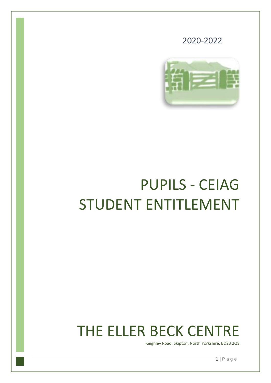

2020-2022

# PUPILS - CEIAG STUDENT ENTITLEMENT

## THE ELLER BECK CENTRE

Keighley Road, Skipton, North Yorkshire, BD23 2QS

**1 |** P a g e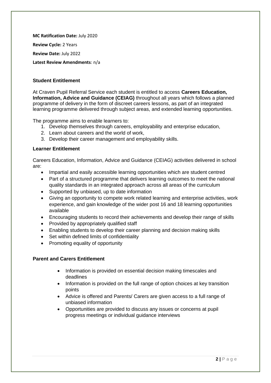**MC Ratification Date:** July 2020 **Review Cycle:** 2 Years **Review Date:** July 2022 **Latest Review Amendments**: n/a

#### **Student Entitlement**

At Craven Pupil Referral Service each student is entitled to access **Careers Education, Information, Advice and Guidance (CEIAG)** throughout all years which follows a planned programme of delivery in the form of discreet careers lessons, as part of an integrated learning programme delivered through subject areas, and extended learning opportunities.

The programme aims to enable learners to:

- 1. Develop themselves through careers, employability and enterprise education,
- 2. Learn about careers and the world of work,
- 3. Develop their career management and employability skills.

#### **Learner Entitlement**

Careers Education, Information, Advice and Guidance (CEIAG) activities delivered in school are:

- Impartial and easily accessible learning opportunities which are student centred
- Part of a structured programme that delivers learning outcomes to meet the national quality standards in an integrated approach across all areas of the curriculum
- Supported by unbiased, up to date information
- Giving an opportunity to compete work related learning and enterprise activities, work experience, and gain knowledge of the wider post 16 and 18 learning opportunities available
- Encouraging students to record their achievements and develop their range of skills
- Provided by appropriately qualified staff
- Enabling students to develop their career planning and decision making skills
- Set within defined limits of confidentiality
- Promoting equality of opportunity

#### **Parent and Carers Entitlement**

- Information is provided on essential decision making timescales and deadlines
- Information is provided on the full range of option choices at key transition points
- Advice is offered and Parents/ Carers are given access to a full range of unbiased information
- Opportunities are provided to discuss any issues or concerns at pupil progress meetings or individual guidance interviews